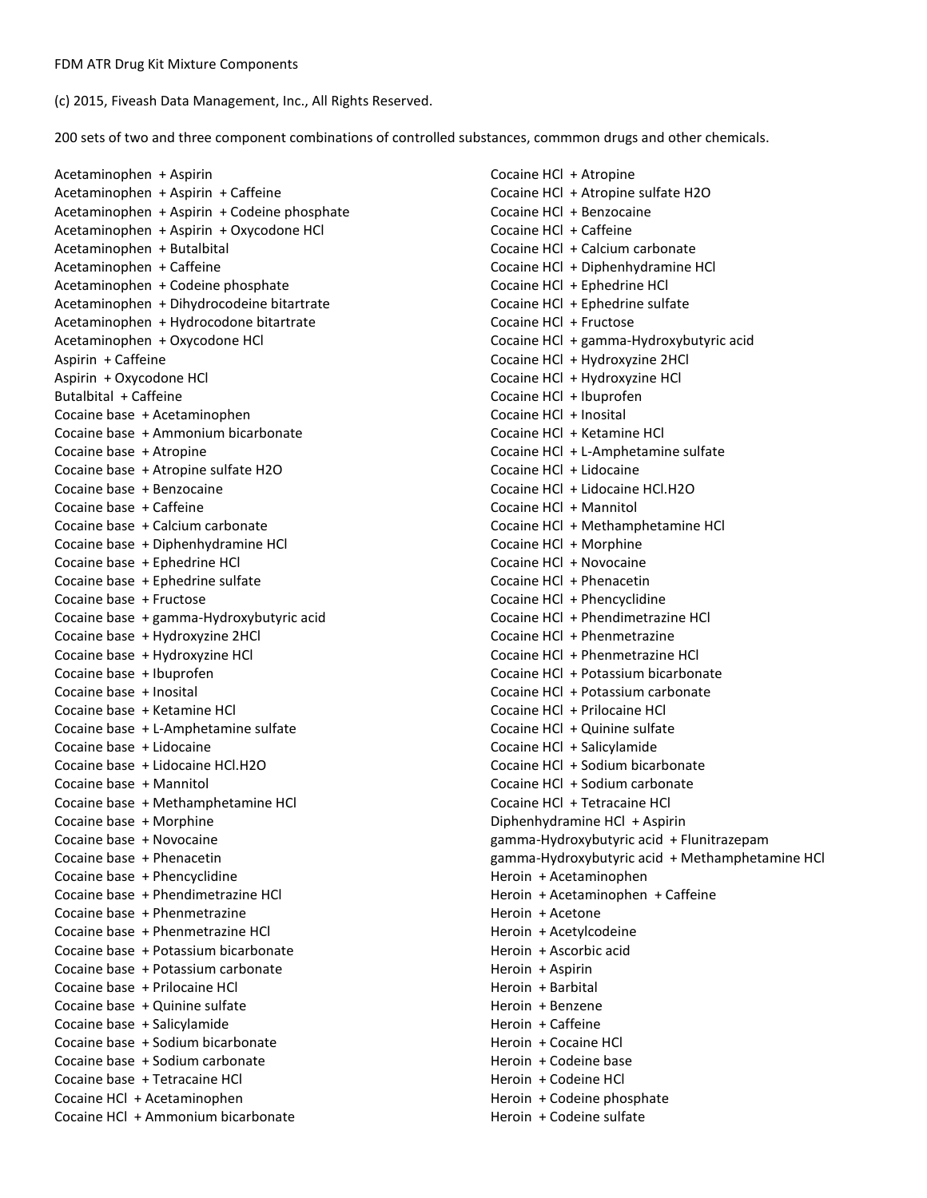(c) 2015, Fiveash Data Management, Inc., All Rights Reserved.

200 sets of two and three component combinations of controlled substances, commmon drugs and other chemicals.

Acetaminophen + Aspirin Acetaminophen + Aspirin + Caffeine Acetaminophen + Aspirin + Codeine phosphate Acetaminophen + Aspirin + Oxycodone HCl Acetaminophen + Butalbital Acetaminophen + Caffeine Acetaminophen + Codeine phosphate Acetaminophen + Dihydrocodeine bitartrate Acetaminophen + Hydrocodone bitartrate Acetaminophen + Oxycodone HCl Aspirin + Caffeine Aspirin + Oxycodone HCl Butalbital + Caffeine Cocaine base + Acetaminophen Cocaine base + Ammonium bicarbonate Cocaine base + Atropine Cocaine base + Atropine sulfate H2O Cocaine base + Benzocaine Cocaine base + Caffeine Cocaine base + Calcium carbonate Cocaine base + Diphenhydramine HCl Cocaine base + Ephedrine HCl Cocaine base + Ephedrine sulfate Cocaine base + Fructose Cocaine base + gamma-Hydroxybutyric acid Cocaine base + Hydroxyzine 2HCl Cocaine base + Hydroxyzine HCl Cocaine base + Ibuprofen Cocaine base + Inosital Cocaine base + Ketamine HCl Cocaine base + L-Amphetamine sulfate Cocaine base + Lidocaine Cocaine base + Lidocaine HCl.H2O Cocaine base + Mannitol Cocaine base + Methamphetamine HCl Cocaine base + Morphine Cocaine base + Novocaine Cocaine base + Phenacetin Cocaine base + Phencyclidine Cocaine base + Phendimetrazine HCl Cocaine base + Phenmetrazine Cocaine base + Phenmetrazine HCl Cocaine base + Potassium bicarbonate Cocaine base + Potassium carbonate Cocaine base + Prilocaine HCl Cocaine base + Quinine sulfate Cocaine base + Salicylamide Cocaine base + Sodium bicarbonate Cocaine base + Sodium carbonate Cocaine base + Tetracaine HCl Cocaine HCl + Acetaminophen Cocaine HCl + Ammonium bicarbonate

Cocaine HCl + Atropine Cocaine HCl + Atropine sulfate H2O Cocaine HCl + Benzocaine Cocaine HCl + Caffeine Cocaine HCl + Calcium carbonate Cocaine HCl + Diphenhydramine HCl Cocaine HCl + Ephedrine HCl Cocaine HCl + Ephedrine sulfate Cocaine HCl + Fructose Cocaine HCl + gamma-Hydroxybutyric acid Cocaine HCl + Hydroxyzine 2HCl Cocaine HCl + Hydroxyzine HCl Cocaine HCl + Ibuprofen Cocaine HCl + Inosital Cocaine HCl + Ketamine HCl Cocaine HCl + L-Amphetamine sulfate Cocaine HCl + Lidocaine Cocaine HCl + Lidocaine HCl.H2O Cocaine HCl + Mannitol Cocaine HCl + Methamphetamine HCl Cocaine HCl + Morphine Cocaine HCl + Novocaine Cocaine HCl + Phenacetin Cocaine HCl + Phencyclidine Cocaine HCl + Phendimetrazine HCl Cocaine HCl + Phenmetrazine Cocaine HCl + Phenmetrazine HCl Cocaine HCl + Potassium bicarbonate Cocaine HCl + Potassium carbonate Cocaine HCl + Prilocaine HCl Cocaine HCl + Quinine sulfate Cocaine HCl + Salicylamide Cocaine HCl + Sodium bicarbonate Cocaine HCl + Sodium carbonate Cocaine HCl + Tetracaine HCl Diphenhydramine HCl + Aspirin gamma-Hydroxybutyric acid + Flunitrazepam gamma-Hydroxybutyric acid + Methamphetamine HCl Heroin + Acetaminophen Heroin + Acetaminophen + Caffeine Heroin + Acetone Heroin + Acetylcodeine Heroin + Ascorbic acid Heroin + Aspirin Heroin + Barbital Heroin + Benzene Heroin + Caffeine Heroin + Cocaine HCl Heroin + Codeine base Heroin + Codeine HCl Heroin + Codeine phosphate Heroin + Codeine sulfate